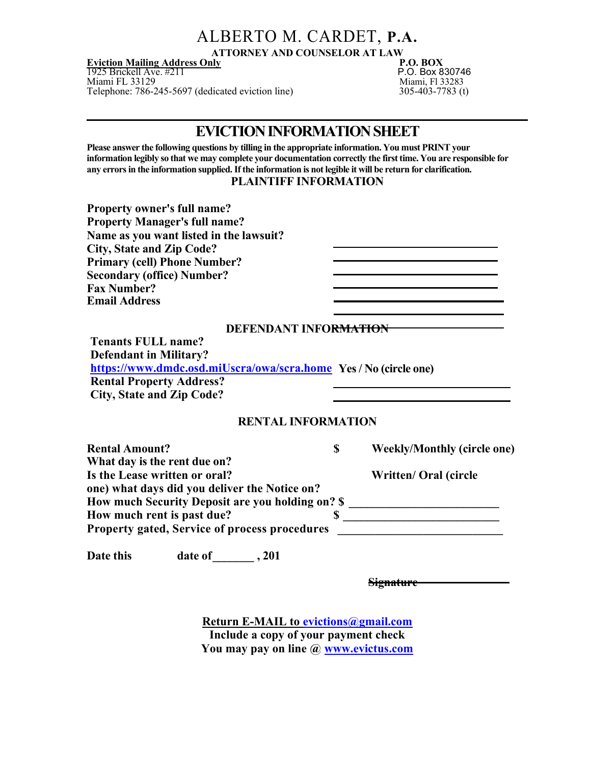## ALBERTO M. CARDET, P.A.

ATTORNEY AND COUNSELOR AT LAW<br>P.O. BOX

**Eviction Mailing Address Only Server Accept Accept Accept Accept Accept Accept Accept Accept Accept Accept Accept** 1925 Brickell Ave. #211 P.O. Box 830746 Miami FL 33129 Miami, Fl 33283 Telephone: 786-245-5697 (dedicated eviction line) 305-403-7783 (t)

### EVICTION INFORMATION SHEET

Please answer the following questions by tilling in the appropriate information. You must PRINT your information legibly so that we may complete your documentation correctly the first time. You are responsible for any errors in the information supplied. If the information is not legible it will be return for clarification.

PLAINTIFF INFORMATION

| <b>Property owner's full name?</b><br><b>Property Manager's full name?</b><br>Name as you want listed in the lawsuit?<br><b>City, State and Zip Code?</b><br><b>Primary (cell) Phone Number?</b><br><b>Secondary (office) Number?</b><br><b>Fax Number?</b> |                                                                                                            |
|-------------------------------------------------------------------------------------------------------------------------------------------------------------------------------------------------------------------------------------------------------------|------------------------------------------------------------------------------------------------------------|
| <b>Email Address</b>                                                                                                                                                                                                                                        |                                                                                                            |
|                                                                                                                                                                                                                                                             | DEFENDANT INFORMATION                                                                                      |
| <b>Tenants FULL name?</b><br><b>Defendant in Military?</b><br>https://www.dmdc.osd.miUscra/owa/scra.home Yes / No (circle one)<br><b>Rental Property Address?</b><br><b>City, State and Zip Code?</b>                                                       |                                                                                                            |
|                                                                                                                                                                                                                                                             | <b>RENTAL INFORMATION</b>                                                                                  |
| <b>Rental Amount?</b><br>What day is the rent due on?                                                                                                                                                                                                       | \$<br><b>Weekly/Monthly (circle one)</b>                                                                   |
| Is the Lease written or oral?<br>one) what days did you deliver the Notice on?                                                                                                                                                                              | Written/ Oral (circle<br>How much Security Deposit are you holding on? \$ ________________________________ |
| How much rent is past due?                                                                                                                                                                                                                                  | $\sim$<br>Property gated, Service of process procedures __________________________________                 |
| <b>Date this</b><br>date of _________, 201                                                                                                                                                                                                                  |                                                                                                            |
|                                                                                                                                                                                                                                                             | <del>Signature</del>                                                                                       |

Return E-MAIL to evictions@gmail.com Include a copy of your payment check You may pay on line @ www.evictus.com